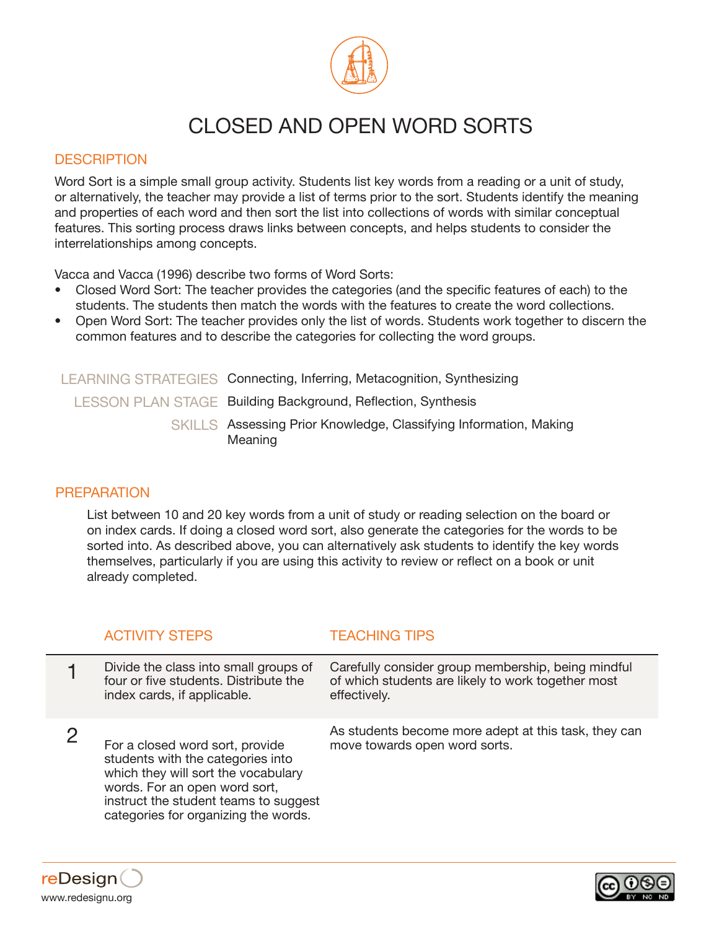

# CLOSED AND OPEN WORD SORTS

### **DESCRIPTION**

Word Sort is a simple small group activity. Students list key words from a reading or a unit of study, or alternatively, the teacher may provide a list of terms prior to the sort. Students identify the meaning and properties of each word and then sort the list into collections of words with similar conceptual features. This sorting process draws links between concepts, and helps students to consider the interrelationships among concepts.

Vacca and Vacca (1996) describe two forms of Word Sorts:

- Closed Word Sort: The teacher provides the categories (and the specific features of each) to the students. The students then match the words with the features to create the word collections.
- Open Word Sort: The teacher provides only the list of words. Students work together to discern the common features and to describe the categories for collecting the word groups.

| LEARNING STRATEGIES Connecting, Inferring, Metacognition, Synthesizing       |  |
|------------------------------------------------------------------------------|--|
| <b>LESSON PLAN STAGE Building Background, Reflection, Synthesis</b>          |  |
| SKILLS Assessing Prior Knowledge, Classifying Information, Making<br>Meaning |  |

#### **PREPARATION**

List between 10 and 20 key words from a unit of study or reading selection on the board or on index cards. If doing a closed word sort, also generate the categories for the words to be sorted into. As described above, you can alternatively ask students to identify the key words themselves, particularly if you are using this activity to review or reflect on a book or unit already completed.

| <b>ACTIVITY STEPS</b>                                                                                                                                                                                                         | <b>TEACHING TIPS</b>                                                                                                     |
|-------------------------------------------------------------------------------------------------------------------------------------------------------------------------------------------------------------------------------|--------------------------------------------------------------------------------------------------------------------------|
| Divide the class into small groups of<br>four or five students. Distribute the<br>index cards, if applicable.                                                                                                                 | Carefully consider group membership, being mindful<br>of which students are likely to work together most<br>effectively. |
| For a closed word sort, provide<br>students with the categories into<br>which they will sort the vocabulary<br>words. For an open word sort,<br>instruct the student teams to suggest<br>categories for organizing the words. | As students become more adept at this task, they can<br>move towards open word sorts.                                    |